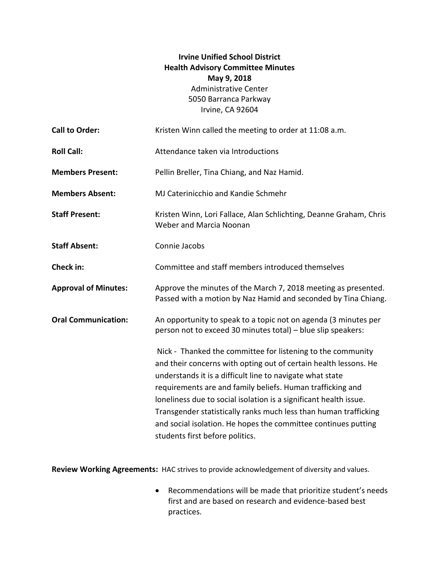## **Irvine Unified School District Health Advisory Committee Minutes May 9, 2018** Administrative Center 5050 Barranca Parkway Irvine, CA 92604

| <b>Call to Order:</b>       | Kristen Winn called the meeting to order at 11:08 a.m.                                                                                                                                                                                                                                                                                                                                                                                                                                                   |
|-----------------------------|----------------------------------------------------------------------------------------------------------------------------------------------------------------------------------------------------------------------------------------------------------------------------------------------------------------------------------------------------------------------------------------------------------------------------------------------------------------------------------------------------------|
| <b>Roll Call:</b>           | Attendance taken via Introductions                                                                                                                                                                                                                                                                                                                                                                                                                                                                       |
| <b>Members Present:</b>     | Pellin Breller, Tina Chiang, and Naz Hamid.                                                                                                                                                                                                                                                                                                                                                                                                                                                              |
| <b>Members Absent:</b>      | MJ Caterinicchio and Kandie Schmehr                                                                                                                                                                                                                                                                                                                                                                                                                                                                      |
| <b>Staff Present:</b>       | Kristen Winn, Lori Fallace, Alan Schlichting, Deanne Graham, Chris<br>Weber and Marcia Noonan                                                                                                                                                                                                                                                                                                                                                                                                            |
| <b>Staff Absent:</b>        | Connie Jacobs                                                                                                                                                                                                                                                                                                                                                                                                                                                                                            |
| Check in:                   | Committee and staff members introduced themselves                                                                                                                                                                                                                                                                                                                                                                                                                                                        |
| <b>Approval of Minutes:</b> | Approve the minutes of the March 7, 2018 meeting as presented.<br>Passed with a motion by Naz Hamid and seconded by Tina Chiang.                                                                                                                                                                                                                                                                                                                                                                         |
| <b>Oral Communication:</b>  | An opportunity to speak to a topic not on agenda (3 minutes per<br>person not to exceed 30 minutes total) - blue slip speakers:                                                                                                                                                                                                                                                                                                                                                                          |
|                             | Nick - Thanked the committee for listening to the community<br>and their concerns with opting out of certain health lessons. He<br>understands it is a difficult line to navigate what state<br>requirements are and family beliefs. Human trafficking and<br>loneliness due to social isolation is a significant health issue.<br>Transgender statistically ranks much less than human trafficking<br>and social isolation. He hopes the committee continues putting<br>students first before politics. |

**Review Working Agreements:** HAC strives to provide acknowledgement of diversity and values.

 Recommendations will be made that prioritize student's needs first and are based on research and evidence-based best practices.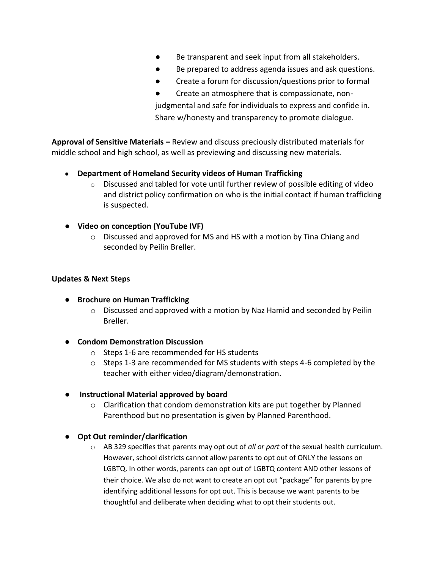- Be transparent and seek input from all stakeholders.
- Be prepared to address agenda issues and ask questions.
- Create a forum for discussion/questions prior to formal
- Create an atmosphere that is compassionate, nonjudgmental and safe for individuals to express and confide in. Share w/honesty and transparency to promote dialogue.

**Approval of Sensitive Materials –** Review and discuss preciously distributed materials for middle school and high school, as well as previewing and discussing new materials.

- **Department of Homeland Security videos of Human Trafficking**
	- $\circ$  Discussed and tabled for vote until further review of possible editing of video and district policy confirmation on who is the initial contact if human trafficking is suspected.
- **Video on conception (YouTube IVF)**
	- o Discussed and approved for MS and HS with a motion by Tina Chiang and seconded by Peilin Breller.

## **Updates & Next Steps**

- **Brochure on Human Trafficking** 
	- $\circ$  Discussed and approved with a motion by Naz Hamid and seconded by Peilin Breller.
- **Condom Demonstration Discussion**
	- o Steps 1-6 are recommended for HS students
	- o Steps 1-3 are recommended for MS students with steps 4-6 completed by the teacher with either video/diagram/demonstration.
- **Instructional Material approved by board**
	- $\circ$  Clarification that condom demonstration kits are put together by Planned Parenthood but no presentation is given by Planned Parenthood.
- **Opt Out reminder/clarification**
	- o AB 329 specifies that parents may opt out of *all or part* of the sexual health curriculum. However, school districts cannot allow parents to opt out of ONLY the lessons on LGBTQ. In other words, parents can opt out of LGBTQ content AND other lessons of their choice. We also do not want to create an opt out "package" for parents by pre identifying additional lessons for opt out. This is because we want parents to be thoughtful and deliberate when deciding what to opt their students out.